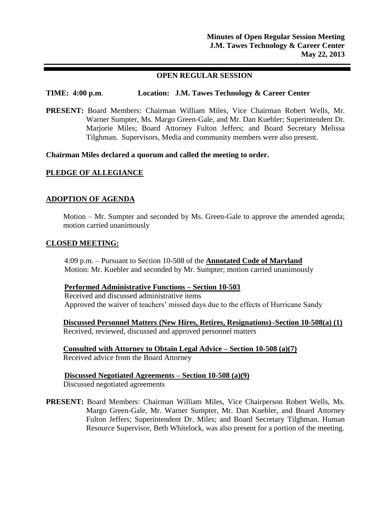# **OPEN REGULAR SESSION**

# **TIME: 4:00 p.m**. **Location: J.M. Tawes Technology & Career Center**

**PRESENT:** Board Members: Chairman William Miles, Vice Chairman Robert Wells, Mr. Warner Sumpter, Ms. Margo Green-Gale, and Mr. Dan Kuebler; Superintendent Dr. Marjorie Miles; Board Attorney Fulton Jeffers; and Board Secretary Melissa Tilghman. Supervisors, Media and community members were also present.

**Chairman Miles declared a quorum and called the meeting to order.**

# **PLEDGE OF ALLEGIANCE**

# **ADOPTION OF AGENDA**

Motion – Mr. Sumpter and seconded by Ms. Green-Gale to approve the amended agenda; motion carried unanimously

# **CLOSED MEETING:**

4:09 p.m. – Pursuant to Section 10-508 of the **Annotated Code of Maryland** Motion: Mr. Kuebler and seconded by Mr. Sumpter; motion carried unanimously

# **Performed Administrative Functions – Section 10-503**

Received and discussed administrative items Approved the waiver of teachers' missed days due to the effects of Hurricane Sandy

**Discussed Personnel Matters (New Hires, Retires, Resignations)–Section 10-508(a) (1)** Received, reviewed, discussed and approved personnel matters

**Consulted with Attorney to Obtain Legal Advice – Section 10-508 (a)(7)** Received advice from the Board Attorney

#### **Discussed Negotiated Agreements – Section 10-508 (a)(9)** Discussed negotiated agreements

**PRESENT:** Board Members: Chairman William Miles, Vice Chairperson Robert Wells, Ms. Margo Green-Gale, Mr. Warner Sumpter, Mr. Dan Kuebler, and Board Attorney Fulton Jeffers; Superintendent Dr. Miles; and Board Secretary Tilghman. Human Resource Supervisor, Beth Whitelock, was also present for a portion of the meeting.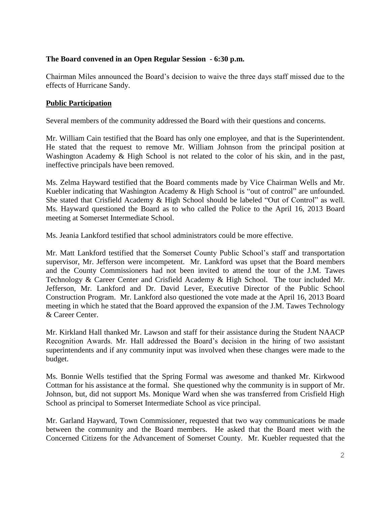# **The Board convened in an Open Regular Session - 6:30 p.m.**

Chairman Miles announced the Board's decision to waive the three days staff missed due to the effects of Hurricane Sandy.

# **Public Participation**

Several members of the community addressed the Board with their questions and concerns.

Mr. William Cain testified that the Board has only one employee, and that is the Superintendent. He stated that the request to remove Mr. William Johnson from the principal position at Washington Academy & High School is not related to the color of his skin, and in the past, ineffective principals have been removed.

Ms. Zelma Hayward testified that the Board comments made by Vice Chairman Wells and Mr. Kuebler indicating that Washington Academy & High School is "out of control" are unfounded. She stated that Crisfield Academy & High School should be labeled "Out of Control" as well. Ms. Hayward questioned the Board as to who called the Police to the April 16, 2013 Board meeting at Somerset Intermediate School.

Ms. Jeania Lankford testified that school administrators could be more effective.

Mr. Matt Lankford testified that the Somerset County Public School's staff and transportation supervisor, Mr. Jefferson were incompetent. Mr. Lankford was upset that the Board members and the County Commissioners had not been invited to attend the tour of the J.M. Tawes Technology & Career Center and Crisfield Academy & High School. The tour included Mr. Jefferson, Mr. Lankford and Dr. David Lever, Executive Director of the Public School Construction Program. Mr. Lankford also questioned the vote made at the April 16, 2013 Board meeting in which he stated that the Board approved the expansion of the J.M. Tawes Technology & Career Center.

Mr. Kirkland Hall thanked Mr. Lawson and staff for their assistance during the Student NAACP Recognition Awards. Mr. Hall addressed the Board's decision in the hiring of two assistant superintendents and if any community input was involved when these changes were made to the budget.

Ms. Bonnie Wells testified that the Spring Formal was awesome and thanked Mr. Kirkwood Cottman for his assistance at the formal. She questioned why the community is in support of Mr. Johnson, but, did not support Ms. Monique Ward when she was transferred from Crisfield High School as principal to Somerset Intermediate School as vice principal.

Mr. Garland Hayward, Town Commissioner, requested that two way communications be made between the community and the Board members. He asked that the Board meet with the Concerned Citizens for the Advancement of Somerset County. Mr. Kuebler requested that the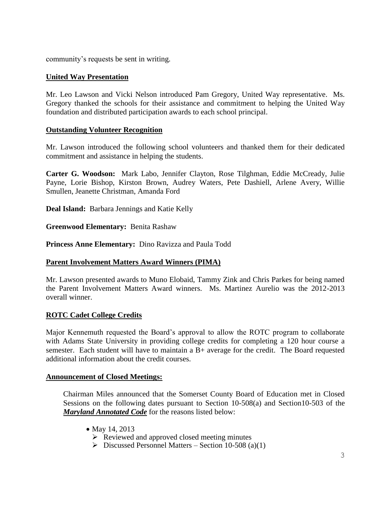community's requests be sent in writing.

# **United Way Presentation**

Mr. Leo Lawson and Vicki Nelson introduced Pam Gregory, United Way representative. Ms. Gregory thanked the schools for their assistance and commitment to helping the United Way foundation and distributed participation awards to each school principal.

# **Outstanding Volunteer Recognition**

Mr. Lawson introduced the following school volunteers and thanked them for their dedicated commitment and assistance in helping the students.

**Carter G. Woodson:** Mark Labo, Jennifer Clayton, Rose Tilghman, Eddie McCready, Julie Payne, Lorie Bishop, Kirston Brown, Audrey Waters, Pete Dashiell, Arlene Avery, Willie Smullen, Jeanette Christman, Amanda Ford

**Deal Island:** Barbara Jennings and Katie Kelly

**Greenwood Elementary:** Benita Rashaw

**Princess Anne Elementary:** Dino Ravizza and Paula Todd

# **Parent Involvement Matters Award Winners (PIMA)**

Mr. Lawson presented awards to Muno Elobaid, Tammy Zink and Chris Parkes for being named the Parent Involvement Matters Award winners. Ms. Martinez Aurelio was the 2012-2013 overall winner.

# **ROTC Cadet College Credits**

Major Kennemuth requested the Board's approval to allow the ROTC program to collaborate with Adams State University in providing college credits for completing a 120 hour course a semester. Each student will have to maintain a B+ average for the credit. The Board requested additional information about the credit courses.

# **Announcement of Closed Meetings:**

Chairman Miles announced that the Somerset County Board of Education met in Closed Sessions on the following dates pursuant to Section 10-508(a) and Section10-503 of the *Maryland Annotated Code* for the reasons listed below:

• May 14, 2013

 $\triangleright$  Reviewed and approved closed meeting minutes

 $\triangleright$  Discussed Personnel Matters – Section 10-508 (a)(1)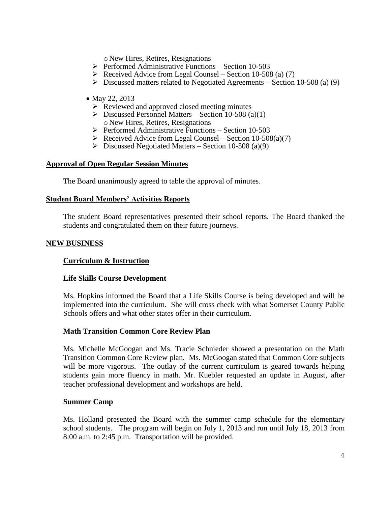o New Hires, Retires, Resignations

- $\triangleright$  Performed Administrative Functions Section 10-503
- $\triangleright$  Received Advice from Legal Counsel Section 10-508 (a) (7)
- $\triangleright$  Discussed matters related to Negotiated Agreements Section 10-508 (a) (9)
- May 22, 2013
	- $\triangleright$  Reviewed and approved closed meeting minutes
	- $\triangleright$  Discussed Personnel Matters Section 10-508 (a)(1) o New Hires, Retires, Resignations
	- $\triangleright$  Performed Administrative Functions Section 10-503
	- $\triangleright$  Received Advice from Legal Counsel Section 10-508(a)(7)
	- $\triangleright$  Discussed Negotiated Matters Section 10-508 (a)(9)

#### **Approval of Open Regular Session Minutes**

The Board unanimously agreed to table the approval of minutes.

#### **Student Board Members' Activities Reports**

The student Board representatives presented their school reports. The Board thanked the students and congratulated them on their future journeys.

#### **NEW BUSINESS**

# **Curriculum & Instruction**

#### **Life Skills Course Development**

Ms. Hopkins informed the Board that a Life Skills Course is being developed and will be implemented into the curriculum. She will cross check with what Somerset County Public Schools offers and what other states offer in their curriculum.

# **Math Transition Common Core Review Plan**

Ms. Michelle McGoogan and Ms. Tracie Schnieder showed a presentation on the Math Transition Common Core Review plan. Ms. McGoogan stated that Common Core subjects will be more vigorous. The outlay of the current curriculum is geared towards helping students gain more fluency in math. Mr. Kuebler requested an update in August, after teacher professional development and workshops are held.

#### **Summer Camp**

Ms. Holland presented the Board with the summer camp schedule for the elementary school students. The program will begin on July 1, 2013 and run until July 18, 2013 from 8:00 a.m. to 2:45 p.m. Transportation will be provided.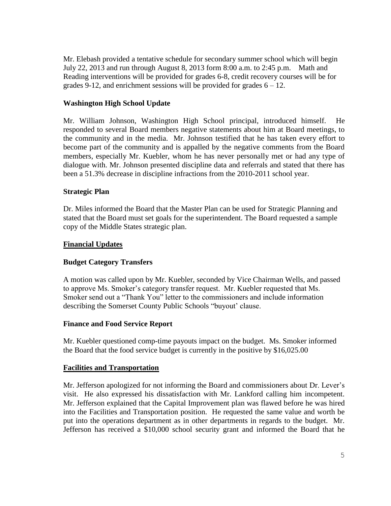Mr. Elebash provided a tentative schedule for secondary summer school which will begin July 22, 2013 and run through August 8, 2013 form 8:00 a.m. to 2:45 p.m. Math and Reading interventions will be provided for grades 6-8, credit recovery courses will be for grades 9-12, and enrichment sessions will be provided for grades  $6 - 12$ .

# **Washington High School Update**

Mr. William Johnson, Washington High School principal, introduced himself. He responded to several Board members negative statements about him at Board meetings, to the community and in the media. Mr. Johnson testified that he has taken every effort to become part of the community and is appalled by the negative comments from the Board members, especially Mr. Kuebler, whom he has never personally met or had any type of dialogue with. Mr. Johnson presented discipline data and referrals and stated that there has been a 51.3% decrease in discipline infractions from the 2010-2011 school year.

# **Strategic Plan**

Dr. Miles informed the Board that the Master Plan can be used for Strategic Planning and stated that the Board must set goals for the superintendent. The Board requested a sample copy of the Middle States strategic plan.

# **Financial Updates**

# **Budget Category Transfers**

A motion was called upon by Mr. Kuebler, seconded by Vice Chairman Wells, and passed to approve Ms. Smoker's category transfer request. Mr. Kuebler requested that Ms. Smoker send out a "Thank You" letter to the commissioners and include information describing the Somerset County Public Schools "buyout' clause.

# **Finance and Food Service Report**

Mr. Kuebler questioned comp-time payouts impact on the budget. Ms. Smoker informed the Board that the food service budget is currently in the positive by \$16,025.00

# **Facilities and Transportation**

Mr. Jefferson apologized for not informing the Board and commissioners about Dr. Lever's visit. He also expressed his dissatisfaction with Mr. Lankford calling him incompetent. Mr. Jefferson explained that the Capital Improvement plan was flawed before he was hired into the Facilities and Transportation position. He requested the same value and worth be put into the operations department as in other departments in regards to the budget. Mr. Jefferson has received a \$10,000 school security grant and informed the Board that he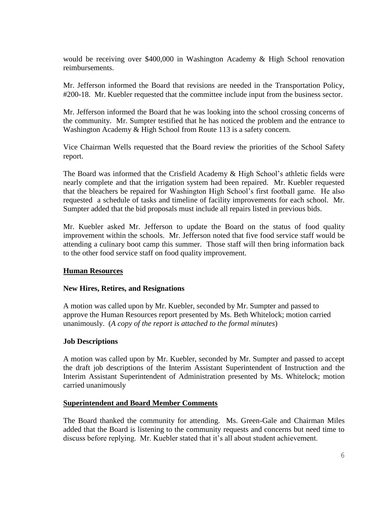would be receiving over \$400,000 in Washington Academy & High School renovation reimbursements.

Mr. Jefferson informed the Board that revisions are needed in the Transportation Policy, #200-18. Mr. Kuebler requested that the committee include input from the business sector.

Mr. Jefferson informed the Board that he was looking into the school crossing concerns of the community. Mr. Sumpter testified that he has noticed the problem and the entrance to Washington Academy & High School from Route 113 is a safety concern.

Vice Chairman Wells requested that the Board review the priorities of the School Safety report.

The Board was informed that the Crisfield Academy & High School's athletic fields were nearly complete and that the irrigation system had been repaired. Mr. Kuebler requested that the bleachers be repaired for Washington High School's first football game. He also requested a schedule of tasks and timeline of facility improvements for each school. Mr. Sumpter added that the bid proposals must include all repairs listed in previous bids.

Mr. Kuebler asked Mr. Jefferson to update the Board on the status of food quality improvement within the schools. Mr. Jefferson noted that five food service staff would be attending a culinary boot camp this summer. Those staff will then bring information back to the other food service staff on food quality improvement.

# **Human Resources**

# **New Hires, Retires, and Resignations**

A motion was called upon by Mr. Kuebler, seconded by Mr. Sumpter and passed to approve the Human Resources report presented by Ms. Beth Whitelock; motion carried unanimously. (*A copy of the report is attached to the formal minutes*)

# **Job Descriptions**

A motion was called upon by Mr. Kuebler, seconded by Mr. Sumpter and passed to accept the draft job descriptions of the Interim Assistant Superintendent of Instruction and the Interim Assistant Superintendent of Administration presented by Ms. Whitelock; motion carried unanimously

# **Superintendent and Board Member Comments**

The Board thanked the community for attending. Ms. Green-Gale and Chairman Miles added that the Board is listening to the community requests and concerns but need time to discuss before replying. Mr. Kuebler stated that it's all about student achievement.